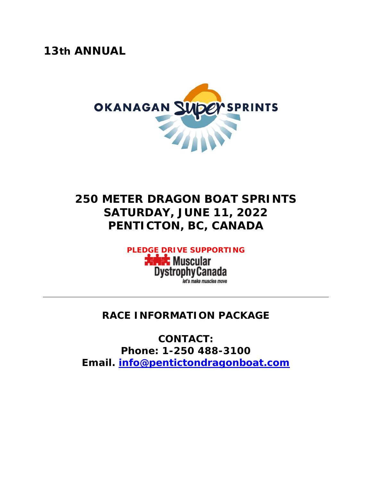*13th ANNUAL* 



# *250 METER DRAGON BOAT SPRINTS* **SATURDAY, JUNE 11, 2022 PENTICTON, BC, CANADA**

*PLEDGE DRIVE SUPPORTING*

**Jahrt** Muscular **DystrophyCanada** let's make muscles move

# **RACE INFORMATION PACKAGE**

**CONTACT: Phone: 1-250 488-3100 Email. [info@pentictondragonboat.com](mailto:info@pentictondragonboat.com)**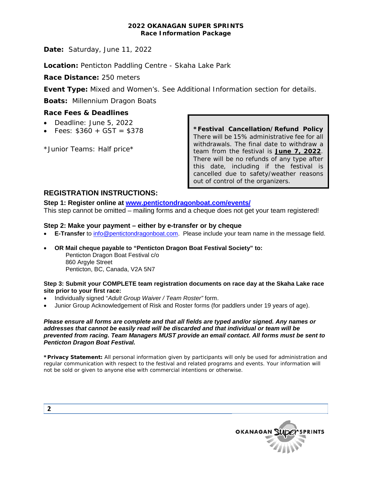#### **2022 OKANAGAN SUPER SPRINTS Race Information Package**

**Date:** Saturday, June 11, 2022

**Location:** Penticton Paddling Centre - Skaha Lake Park

**Race Distance:** 250 meters

**Event Type:** Mixed and Women's. See Additional Information section for details.

**Boats:** Millennium Dragon Boats

## **Race Fees & Deadlines**

- Deadline: June 5, 2022
- Fees:  $$360 + GST = $378$

*\*Junior Teams:* Half price\*

**\*Festival Cancellation/Refund Policy**  There will be 15% administrative fee for all withdrawals. The final date to withdraw a team from the festival is **June 7, 2022**. There will be no refunds of any type after this date, including if the festival is cancelled due to safety/weather reasons out of control of the organizers.

# **REGISTRATION INSTRUCTIONS:**

**Step 1: Register online at [www.pentictondragonboat.com/events/](http://www.pentictondragonboat.com/events/)**

This step cannot be omitted – mailing forms and a cheque does not get your team registered!

#### **Step 2: Make your payment – either by e-transfer or by cheque**

- **E-Transfer** to [info@pentictondragonboat.com.](mailto:info@pentictondragonboat.com) Please include your team name in the message field.
- **OR Mail cheque payable to "Penticton Dragon Boat Festival Society" to:** Penticton Dragon Boat Festival c/o 860 Arayle Street Penticton, BC, Canada, V2A 5N7

#### **Step 3: Submit your COMPLETE team registration documents on race day at the Skaha Lake race site prior to your first race:**

- Individually signed "*Adult Group Waiver / Team Roster"* form.
- Junior Group Acknowledgement of Risk and Roster forms (for paddlers under 19 years of age).

#### *Please ensure all forms are complete and that all fields are typed and/or signed. Any names or addresses that cannot be easily read will be discarded and that individual or team will be prevented from racing. Team Managers MUST provide an email contact. All forms must be sent to Penticton Dragon Boat Festival.*

**\*Privacy Statement:** All personal information given by participants will only be used for administration and regular communication with respect to the festival and related programs and events. Your information will not be sold or given to anyone else with commercial intentions or otherwise.